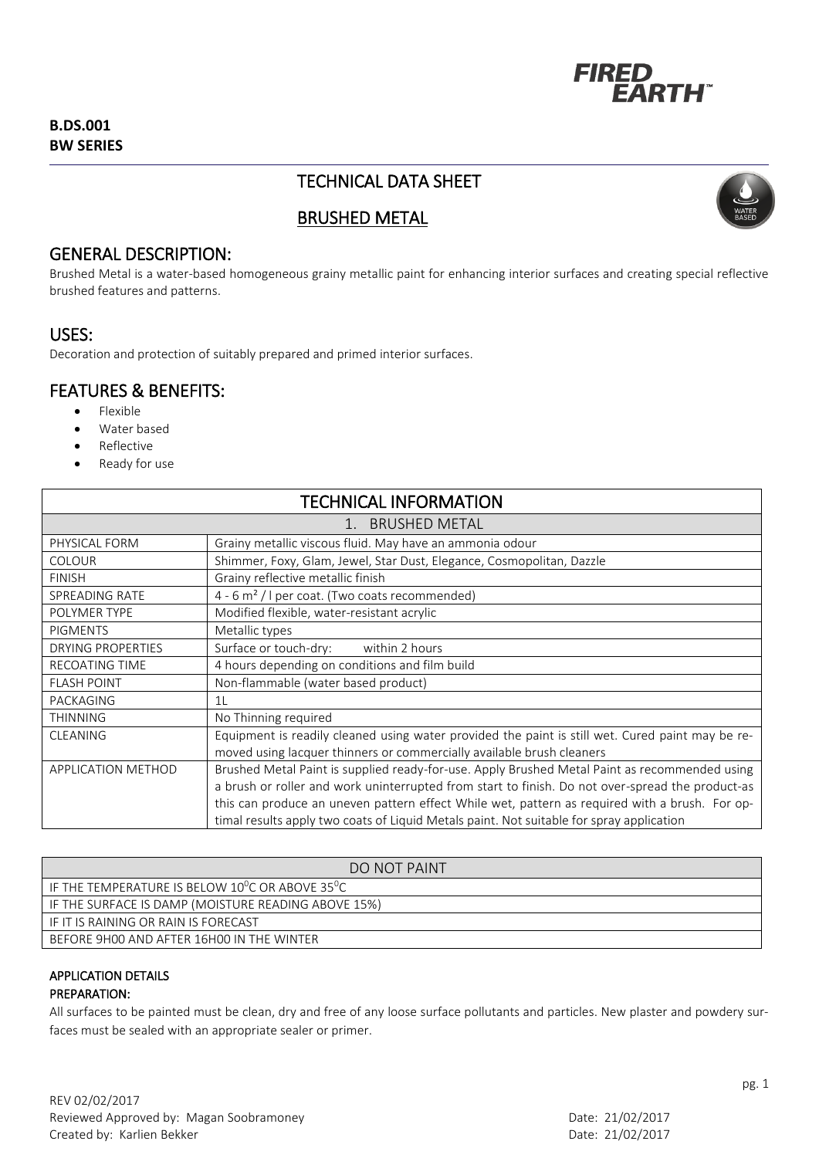

## **B.DS.001 BW SERIES**

# TECHNICAL DATA SHEET



# BRUSHED METAL

## GENERAL DESCRIPTION:

Brushed Metal is a water-based homogeneous grainy metallic paint for enhancing interior surfaces and creating special reflective brushed features and patterns.

## USES:

Decoration and protection of suitably prepared and primed interior surfaces.

# FEATURES & BENEFITS:

- Flexible
- Water based
- Reflective
- Ready for use

| <b>TECHNICAL INFORMATION</b> |                                                                                                  |
|------------------------------|--------------------------------------------------------------------------------------------------|
| 1. BRUSHED METAL             |                                                                                                  |
| PHYSICAL FORM                | Grainy metallic viscous fluid. May have an ammonia odour                                         |
| <b>COLOUR</b>                | Shimmer, Foxy, Glam, Jewel, Star Dust, Elegance, Cosmopolitan, Dazzle                            |
| <b>FINISH</b>                | Grainy reflective metallic finish                                                                |
| SPREADING RATE               | 4 - 6 m <sup>2</sup> / I per coat. (Two coats recommended)                                       |
| POLYMER TYPE                 | Modified flexible, water-resistant acrylic                                                       |
| <b>PIGMENTS</b>              | Metallic types                                                                                   |
| <b>DRYING PROPERTIES</b>     | Surface or touch-dry: within 2 hours                                                             |
| <b>RECOATING TIME</b>        | 4 hours depending on conditions and film build                                                   |
| <b>FLASH POINT</b>           | Non-flammable (water based product)                                                              |
| PACKAGING                    | 1 <sup>L</sup>                                                                                   |
| <b>THINNING</b>              | No Thinning required                                                                             |
| <b>CLEANING</b>              | Equipment is readily cleaned using water provided the paint is still wet. Cured paint may be re- |
|                              | moved using lacquer thinners or commercially available brush cleaners                            |
| APPLICATION METHOD           | Brushed Metal Paint is supplied ready-for-use. Apply Brushed Metal Paint as recommended using    |
|                              | a brush or roller and work uninterrupted from start to finish. Do not over-spread the product-as |
|                              | this can produce an uneven pattern effect While wet, pattern as required with a brush. For op-   |
|                              | timal results apply two coats of Liquid Metals paint. Not suitable for spray application         |

| DO NOT PAINT                                                             |
|--------------------------------------------------------------------------|
| IF THE TEMPERATURE IS BELOW 10 <sup>0</sup> C OR ABOVE 35 <sup>0</sup> C |
| IF THE SURFACE IS DAMP (MOISTURE READING ABOVE 15%)                      |
| IF IT IS RAINING OR RAIN IS FORECAST                                     |
| BEFORE 9H00 AND AFTER 16H00 IN THE WINTER                                |
|                                                                          |

## APPLICATION DETAILS

#### PREPARATION:

All surfaces to be painted must be clean, dry and free of any loose surface pollutants and particles. New plaster and powdery surfaces must be sealed with an appropriate sealer or primer.